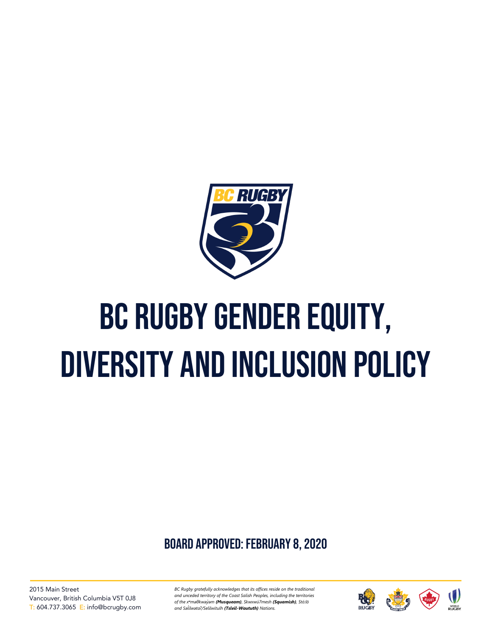

# BC Rugby gender equity, diversity and inclusion policy

board approved: February 8, 2020

2015 Main Street Vancouver, British Columbia V5T 0J8 T: 604.737.3065 E: info@bcrugby.com *BC Rugby gratefully acknowledges that its offices reside on the traditional and unceded territory of the Coast Salish Peoples, including the territories of the xʷməθkwəy̓əm (Musqueam), Skwxwú7mesh (Squamish), Stó:lō and Səl̓ ílwətaʔ/Selilwitulh (Tsleil-Waututh) Nations.*

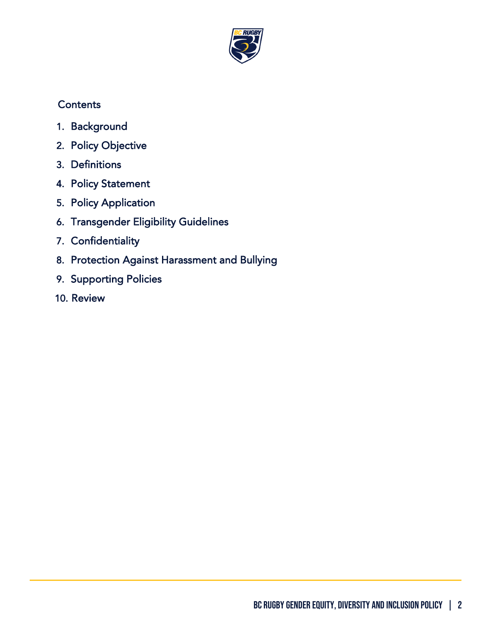

# **Contents**

- 1. [Background](#page-2-0)
- 2. [Policy Objective](#page-2-1)
- 3. [Definitions](#page-2-2)
- 4. [Policy Statement](#page-4-0)
- 5. [Policy Application](#page-4-1)
- 6. [Transgender Eligibility Guidelines](#page-5-0)
- 7. [Confidentiality](#page-5-1)
- 8. [Protection Against Harassment and Bullying](#page-5-2)
- 9. [Supporting Policies](#page-6-0)
- 10. [Review](#page-6-1)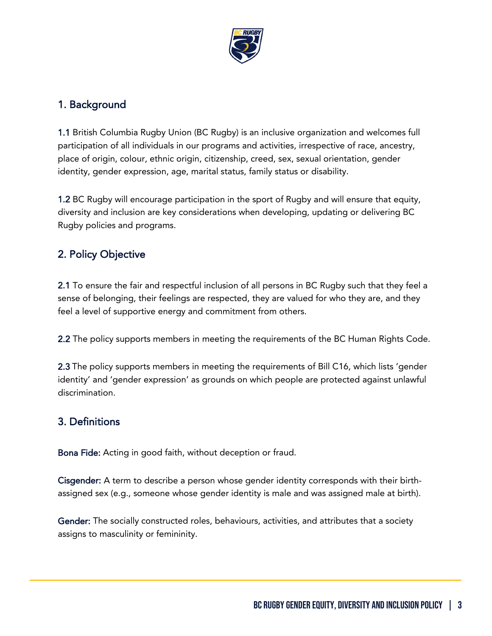

## <span id="page-2-0"></span>1. Background

1.1 British Columbia Rugby Union (BC Rugby) is an inclusive organization and welcomes full participation of all individuals in our programs and activities, irrespective of race, ancestry, place of origin, colour, ethnic origin, citizenship, creed, sex, sexual orientation, gender identity, gender expression, age, marital status, family status or disability.

1.2 BC Rugby will encourage participation in the sport of Rugby and will ensure that equity, diversity and inclusion are key considerations when developing, updating or delivering BC Rugby policies and programs.

# <span id="page-2-1"></span>2. Policy Objective

2.1 To ensure the fair and respectful inclusion of all persons in BC Rugby such that they feel a sense of belonging, their feelings are respected, they are valued for who they are, and they feel a level of supportive energy and commitment from others.

2.2 The policy supports members in meeting the requirements of the BC Human Rights Code.

2.3 The policy supports members in meeting the requirements of Bill C16, which lists 'gender identity' and 'gender expression' as grounds on which people are protected against unlawful discrimination.

## <span id="page-2-2"></span>3. Definitions

Bona Fide: Acting in good faith, without deception or fraud.

Cisgender: A term to describe a person whose gender identity corresponds with their birthassigned sex (e.g., someone whose gender identity is male and was assigned male at birth).

Gender: The socially constructed roles, behaviours, activities, and attributes that a society assigns to masculinity or femininity.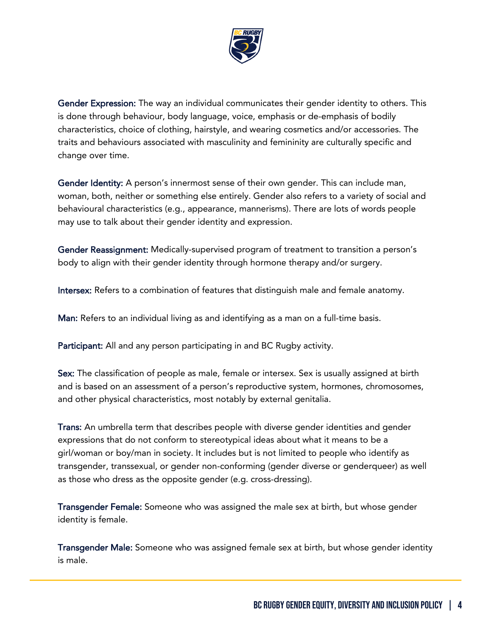

Gender Expression: The way an individual communicates their gender identity to others. This is done through behaviour, body language, voice, emphasis or de-emphasis of bodily characteristics, choice of clothing, hairstyle, and wearing cosmetics and/or accessories. The traits and behaviours associated with masculinity and femininity are culturally specific and change over time.

Gender Identity: A person's innermost sense of their own gender. This can include man, woman, both, neither or something else entirely. Gender also refers to a variety of social and behavioural characteristics (e.g., appearance, mannerisms). There are lots of words people may use to talk about their gender identity and expression.

Gender Reassignment: Medically-supervised program of treatment to transition a person's body to align with their gender identity through hormone therapy and/or surgery.

Intersex: Refers to a combination of features that distinguish male and female anatomy.

Man: Refers to an individual living as and identifying as a man on a full-time basis.

Participant: All and any person participating in and BC Rugby activity.

Sex: The classification of people as male, female or intersex. Sex is usually assigned at birth and is based on an assessment of a person's reproductive system, hormones, chromosomes, and other physical characteristics, most notably by external genitalia.

Trans: An umbrella term that describes people with diverse gender identities and gender expressions that do not conform to stereotypical ideas about what it means to be a girl/woman or boy/man in society. It includes but is not limited to people who identify as transgender, transsexual, or gender non-conforming (gender diverse or genderqueer) as well as those who dress as the opposite gender (e.g. cross-dressing).

Transgender Female: Someone who was assigned the male sex at birth, but whose gender identity is female.

Transgender Male: Someone who was assigned female sex at birth, but whose gender identity is male.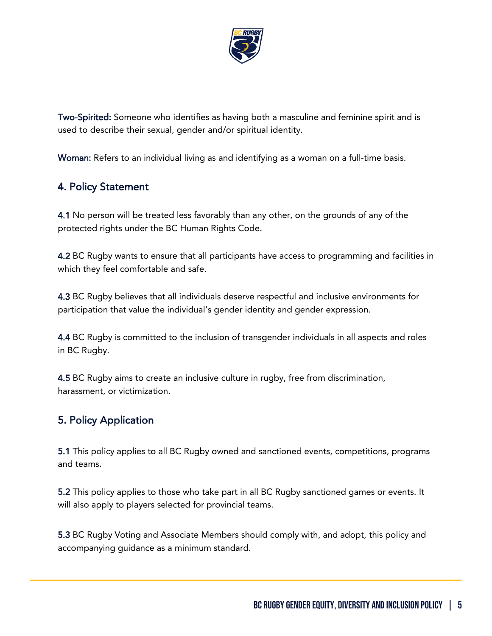

Two-Spirited: Someone who identifies as having both a masculine and feminine spirit and is used to describe their sexual, gender and/or spiritual identity.

Woman: Refers to an individual living as and identifying as a woman on a full-time basis.

#### <span id="page-4-0"></span>4. Policy Statement

4.1 No person will be treated less favorably than any other, on the grounds of any of the protected rights under the BC Human Rights Code.

4.2 BC Rugby wants to ensure that all participants have access to programming and facilities in which they feel comfortable and safe.

4.3 BC Rugby believes that all individuals deserve respectful and inclusive environments for participation that value the individual's gender identity and gender expression.

4.4 BC Rugby is committed to the inclusion of transgender individuals in all aspects and roles in BC Rugby.

4.5 BC Rugby aims to create an inclusive culture in rugby, free from discrimination, harassment, or victimization.

# <span id="page-4-1"></span>5. Policy Application

5.1 This policy applies to all BC Rugby owned and sanctioned events, competitions, programs and teams.

5.2 This policy applies to those who take part in all BC Rugby sanctioned games or events. It will also apply to players selected for provincial teams.

5.3 BC Rugby Voting and Associate Members should comply with, and adopt, this policy and accompanying guidance as a minimum standard.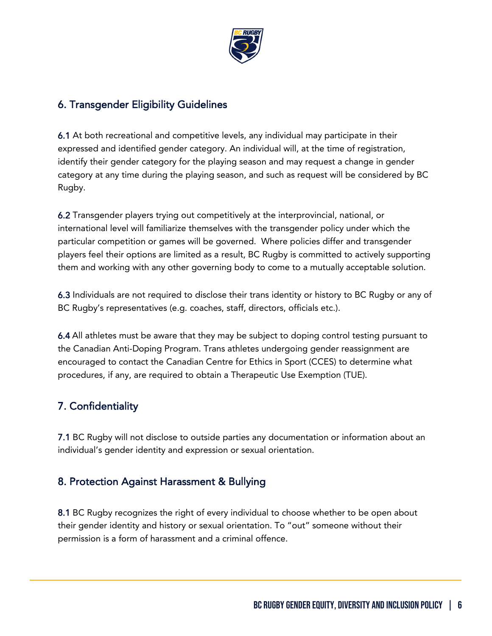

## <span id="page-5-0"></span>6. Transgender Eligibility Guidelines

6.1 At both recreational and competitive levels, any individual may participate in their expressed and identified gender category. An individual will, at the time of registration, identify their gender category for the playing season and may request a change in gender category at any time during the playing season, and such as request will be considered by BC Rugby.

6.2 Transgender players trying out competitively at the interprovincial, national, or international level will familiarize themselves with the transgender policy under which the particular competition or games will be governed. Where policies differ and transgender players feel their options are limited as a result, BC Rugby is committed to actively supporting them and working with any other governing body to come to a mutually acceptable solution.

6.3 Individuals are not required to disclose their trans identity or history to BC Rugby or any of BC Rugby's representatives (e.g. coaches, staff, directors, officials etc.).

6.4 All athletes must be aware that they may be subject to doping control testing pursuant to the Canadian Anti-Doping Program. Trans athletes undergoing gender reassignment are encouraged to contact the Canadian Centre for Ethics in Sport (CCES) to determine what procedures, if any, are required to obtain a Therapeutic Use Exemption (TUE).

## <span id="page-5-1"></span>7. Confidentiality

7.1 BC Rugby will not disclose to outside parties any documentation or information about an individual's gender identity and expression or sexual orientation.

#### <span id="page-5-2"></span>8. Protection Against Harassment & Bullying

8.1 BC Rugby recognizes the right of every individual to choose whether to be open about their gender identity and history or sexual orientation. To "out" someone without their permission is a form of harassment and a criminal offence.